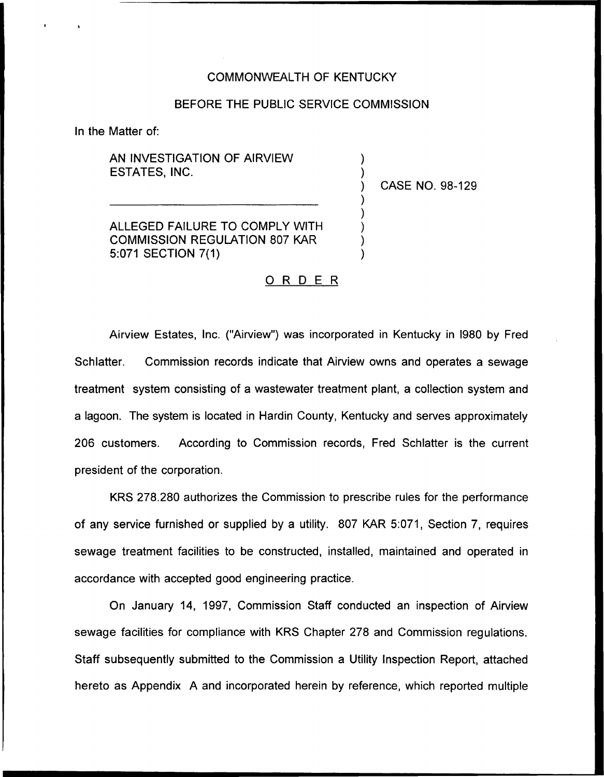## COMMONWEALTH OF KENTUCKY

### BEFORE THE PUBLIC SERVICE COMMISSION

 $\overline{\phantom{a}}$  $\overline{\phantom{a}}$ 

) ) ) ) )

In the Matter of:

AN INVESTIGATION OF AIRVIEW ESTATES, INC.

) CASE NO. 98-129

ALLEGED FAILURE TO COMPLY WITH COMMISSION REGULATION 807 KAR 5:071 SECTION 7(1)

# 0 <sup>R</sup> <sup>D</sup> <sup>E</sup> <sup>R</sup>

Airview Estates, Inc. ("Airview") was incorporated in Kentucky in I980 by Fred Schlatter. Commission records indicate that Airview owns and operates a sewage treatment system consisting of a wastewater treatment plant, a collection system and a lagoon. The system is located in Hardin County, Kentucky and serves approximately 206 customers. According to Commission records, Fred Schlatter is the current president of the corporation.

KRS 278.280 authorizes the Commission to prescribe rules for the performance of any service furnished or supplied by a utility. 807 KAR 5:071, Section?, requires sewage treatment facilities to be constructed, installed, maintained and operated in accordance with accepted good engineering practice.

On January 14, 1997, Commission Staff conducted an inspection of Airview sewage facilities for compliance with KRS Chapter 278 and Commission regulations. Staff subsequently submitted to the Commission a Utility Inspection Report, attached hereto as Appendix A and incorporated herein by reference, which reported multiple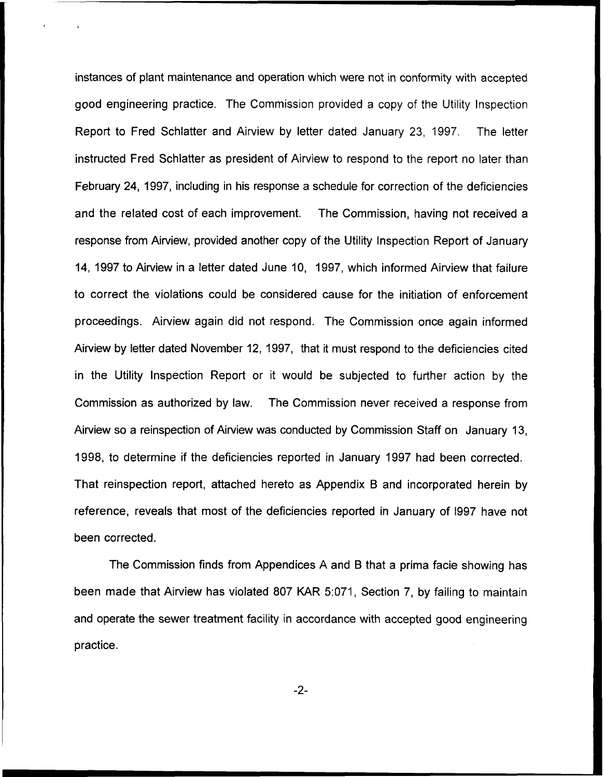instances of plant maintenance and operation which were not in conformity with accepted good engineering practice, The Commission provided a copy of the Utility Inspection Report to Fred Schlatter and Airview by letter dated January 23, 1997. The letter instructed Fred Schlatter as president of Airview to respond to the report no later than February 24, 1997, including in his response a schedule for correction of the deficiencies and the related cost of each improvement. The Commission, having not received a response from Airview, provided another copy of the Utility Inspection Report of January 14, 1997 to Airview in a letter dated June 10, 1997, which informed Airview that failure to correct the violations could be considered cause for the initiation of enforcement proceedings. Airview again did not respond. The Commission once again informed Airview by letter dated November 12, 1997, that it must respond to the deficiencies cited in the Utility Inspection Report or it would be subjected to further action by the Commission as authorized by law. The Commission never received a response from Airview so a reinspection of Airview was conducted by Commission Staff on January 13, 1998, to determine if the deficiencies reported in January 199? had been corrected. That reinspection report, attached hereto as Appendix B and incorporated herein by reference, reveals that most of the deficiencies reported in January of I997 have not been corrected.

The Commission finds from Appendices A and B that a prima facie showing has been made that Airview has violated 807 KAR 5:071, Section 7, by failing to maintain and operate the sewer treatment facility in accordance with accepted good engineering practice.

 $-2-$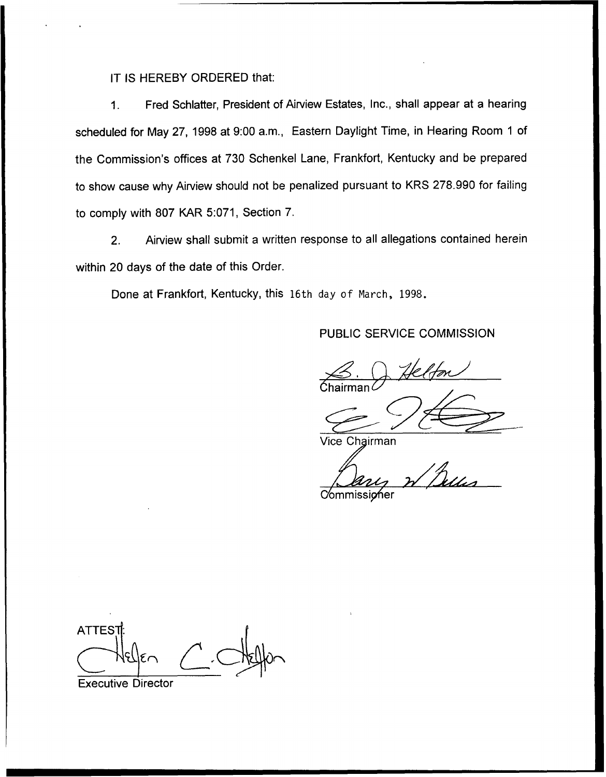IT IS HEREBY ORDERED that:

Fred Schlatter, President of Airview Estates, Inc., shall appear at a hearing  $1.$ scheduled for May 27, 1998 at 9:00 a.m., Eastern Daylight Time, in Hearing Room 1 of the Commission's offices at 730 Schenkel Lane, Frankfort, Kentucky and be prepared to show cause why Airview should not be penalized pursuant to KRS 278.990 for failing to comply with 807 KAR 5:071, Section 7.

2. Airview shall submit a written response to all allegations contained herein within 20 days of the date of this Order.

Done at Frankfort, Kentucky, this 16th day of Narch, 1998.

# PUBLIC SERVICE COMMISSION

 $\beta$  Helfon

**Vice Chairman** 

**Commissioner** 

**ATTEST** 

Executive Director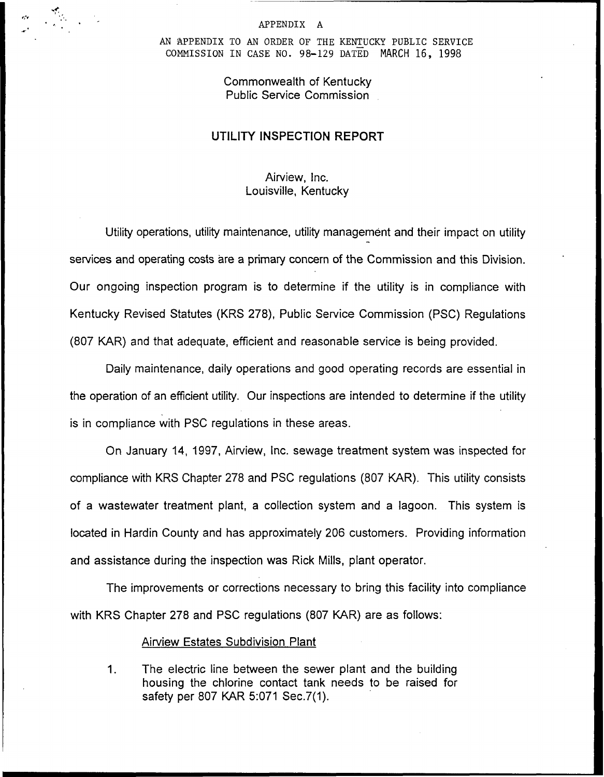#### APPENDIX A

AN APPENDIX TO AN ORDER OF THE KENTUCKY PUBLIC SERVICE COMMISSION IN CASE NO. 98-129 DATED MARCH 16, 1998

# Commonwealth of Kentucky Public Service Commission

# UTILITY INSPECTION REPORT

# Airview, Inc. Louisville, Kentucky

Utility operations, utility maintenance, utility management and their impact on utility services and operating costs are a primary concern of the Commission and this Division. Our ongoing inspection program is to determine if the utility is in compliance with Kentucky Revised Statutes (KRS 278), Public Service Commission (PSC) Regulations (807 KAR) and that adequate, efficient and reasonable service is being provided.

Daily maintenance, daily operations and good operating records are essential in the operation of an efficient utility. Our inspections are intended to determine if the utility is in compliance with PSC regulations in these areas.

On January 14, 1997, Airview, lnc. sewage treatment system was inspected for compliance with KRS Chapter 278 and PSC regulations (807 KAR). This utility consists of a wastewater treatment plant, a collection system and a lagoon. This system is located in Hardin County and has approximately 206 customers. Providing information and assistance during the inspection was Rick Mills, plant operator.

The improvements or corrections necessary to bring this facility into compliance with KRS Chapter 278 and PSC regulations (807 KAR) are as follows:

### **Airview Estates Subdivision Plant**

 $1<sub>1</sub>$ The electric line between the sewer plant and the building housing the chlorine contact tank needs to be raised for safety per 807 KAR 5:071 Sec.7(1).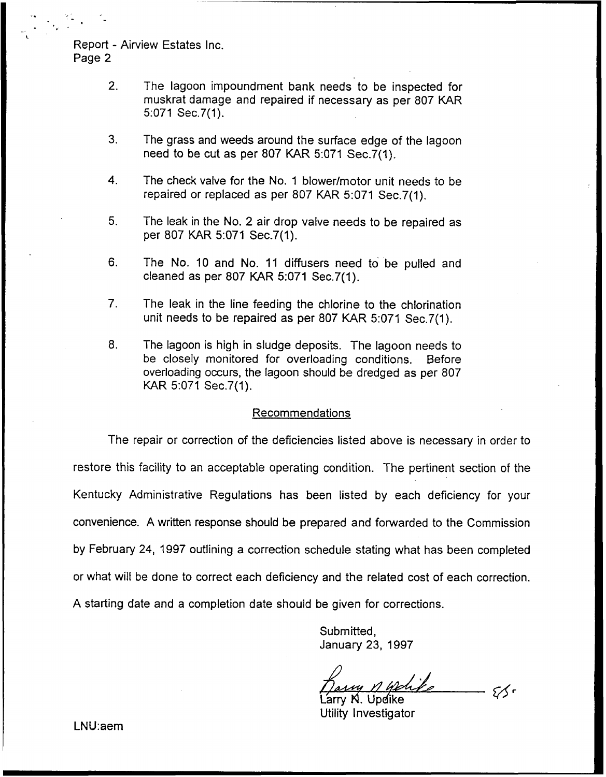Report - Airview Estates Inc, Page 2

- 2. The lagoon impoundment bank needs to be inspected for muskrat damage and repaired if necessary as per 807 KAR 5:071 Sec.7(1).
- 3. The grass and weeds around the surface edge of the lagoon need to be cut as per 807 KAR 5:071 Sec.7(1).
- 4. The check valve for the No. <sup>1</sup> blower/motor unit needs to be repaired or replaced as per 807 KAR 5:071 Sec.7(1).
- 5. The leak in the No. 2 air drop valve needs to be repaired as per 80? KAR 5:071 Sec.7(1).
- 6. The No. 10 and No. 11 diffusers need to be pulled and cleaned as per 807 KAR 5:071 Sec.7(1).
- 7. The leak in the line feeding the chlorine to the chlorination unit needs to be repaired as per 807 KAR 5:071 Sec.7(1).
- $8<sub>1</sub>$ The lagoon is high in sludge deposits. The lagoon needs to be closely monitored for overloading conditions. Before overloading occurs, the lagoon should be dredged as per 807 KAR 5:071 Sec.7(1).

### Recommendations

The repair or correction of the deficiencies listed above is necessary in order to restore this facility to an acceptable operating condition. The pertinent section of the Kentucky Administrative Regulations has been listed by each deficiency for your convenience. A written response should be prepared and forwarded to the Commission by February 24, 1997 outlining a correction schedule stating what has been completed or what will be done to correct each deficiency and the related cost of each correction. A starting date and a completion date should be given for corrections.

> Submitted, January 23, 1997

Larry H. Updike

Utility Investigator

LNU:aem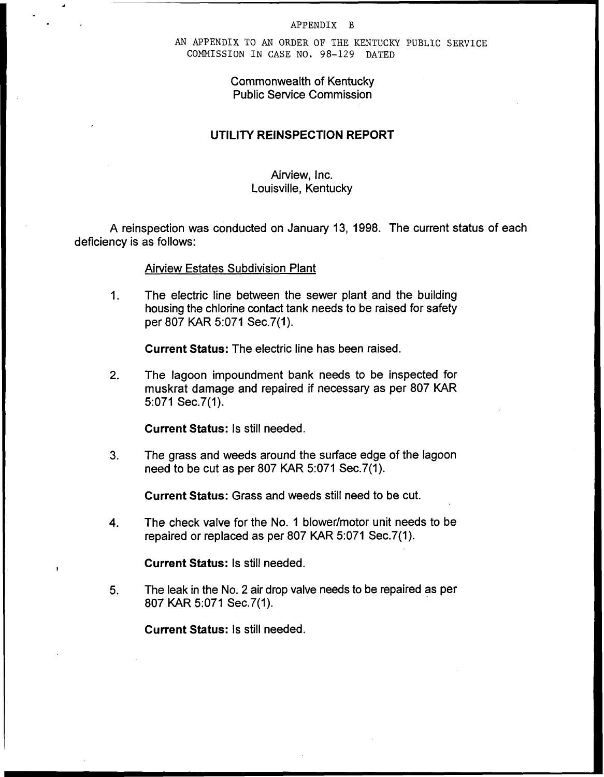#### APPENDIX B

AN APPENDIX TO AN ORDER OF THE KENTUCKY PUBLIC SERVICE COMMISSION IN CASE NO. 98-129 DATED

# Commonwealth of Kentucky Public Service Commission

# UTILITY REINSPECTION REPORT

## Airview, Inc. Louisville, Kentucky

A reinspection was conducted on January 13, 1998. The current status of each deficiency is as follows:

### Airview Estates Subdivision Plant

 $1<sub>1</sub>$ The electric line between the sewer plant and the building housing the chlorine contact tank needs to be raised for safety per 807 KAR 5:071 Sec.7(1).

Current Status: The electric line has been raised.

2. The lagoon impoundment bank needs to be inspected for muskrat damage and repaired if necessary as per 807 KAR 5:071 Sec.7(1).

Current Status: Is still needed.

3. The grass and weeds around the surface edge of the lagoon need to be cut as per 807 KAR 5:071 Sec.7(1).

Current Status: Grass and weeds still need to be cut.

4. The check valve for the No. <sup>1</sup> blower/motor unit needs to be repaired or replaced as per 807 KAR 5:071 Sec.7(1).

Current Status: Is still needed.

5. The leak in the No. 2 air drop valve needs to be repaired as per 807 KAR 5:071 Sec.7(1).

Current Status: Is still needed.